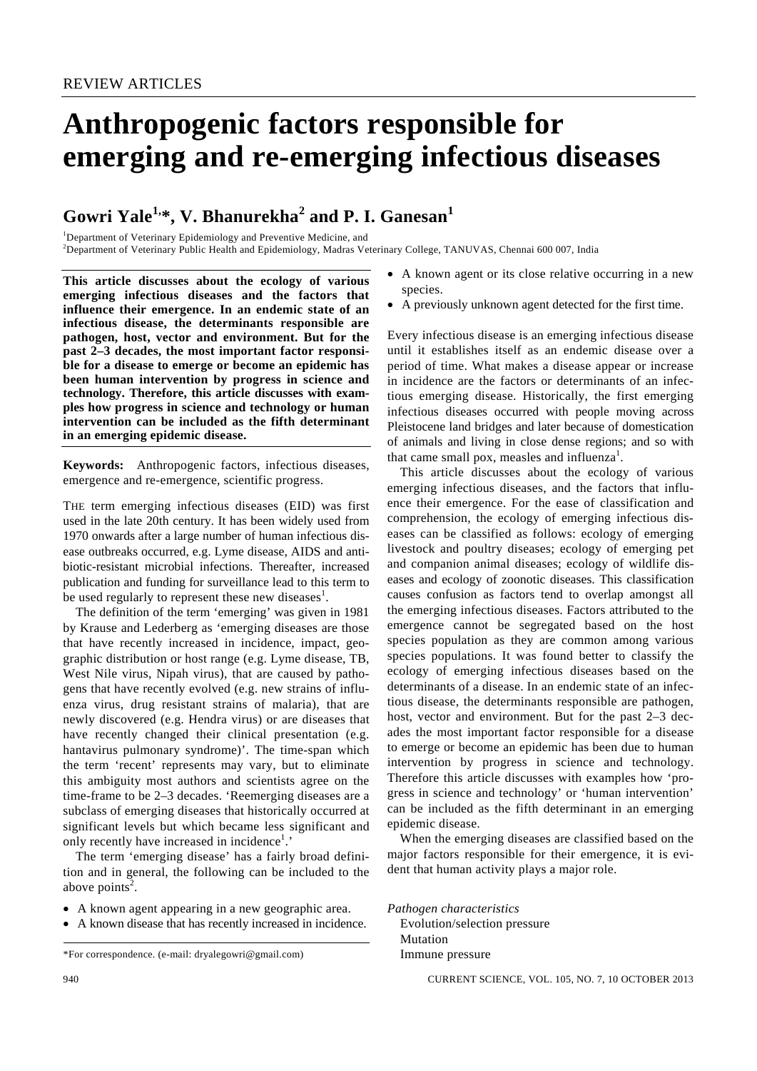# **Anthropogenic factors responsible for emerging and re-emerging infectious diseases**

# $\mathbf{G}$ owri Yale $^{1,\ast},$  V. Bhanurekha $^{2}$  and P. I.  $\mathbf{G}$ anesan $^{1}$

<sup>1</sup>Department of Veterinary Epidemiology and Preventive Medicine, and 2 Department of Veterinary Public Health and Epidemiology, Madras Veterinary College, TANUVAS, Chennai 600 007, India

**This article discusses about the ecology of various emerging infectious diseases and the factors that influence their emergence. In an endemic state of an infectious disease, the determinants responsible are pathogen, host, vector and environment. But for the past 2–3 decades, the most important factor responsible for a disease to emerge or become an epidemic has been human intervention by progress in science and technology. Therefore, this article discusses with examples how progress in science and technology or human intervention can be included as the fifth determinant in an emerging epidemic disease.** 

**Keywords:** Anthropogenic factors, infectious diseases, emergence and re-emergence, scientific progress.

THE term emerging infectious diseases (EID) was first used in the late 20th century. It has been widely used from 1970 onwards after a large number of human infectious disease outbreaks occurred, e.g. Lyme disease, AIDS and antibiotic-resistant microbial infections. Thereafter, increased publication and funding for surveillance lead to this term to be used regularly to represent these new diseases<sup>1</sup>.

 The definition of the term 'emerging' was given in 1981 by Krause and Lederberg as 'emerging diseases are those that have recently increased in incidence, impact, geographic distribution or host range (e.g. Lyme disease, TB, West Nile virus, Nipah virus), that are caused by pathogens that have recently evolved (e.g. new strains of influenza virus, drug resistant strains of malaria), that are newly discovered (e.g. Hendra virus) or are diseases that have recently changed their clinical presentation (e.g. hantavirus pulmonary syndrome)'. The time-span which the term 'recent' represents may vary, but to eliminate this ambiguity most authors and scientists agree on the time-frame to be 2–3 decades. 'Reemerging diseases are a subclass of emerging diseases that historically occurred at significant levels but which became less significant and only recently have increased in incidence<sup>1</sup>.'

 The term 'emerging disease' has a fairly broad definition and in general, the following can be included to the above points<sup>2</sup>.

- A known agent appearing in a new geographic area.
- A known disease that has recently increased in incidence.

\*For correspondence. (e-mail: dryalegowri@gmail.com)

- -
- A known agent or its close relative occurring in a new species.
- A previously unknown agent detected for the first time.

Every infectious disease is an emerging infectious disease until it establishes itself as an endemic disease over a period of time. What makes a disease appear or increase in incidence are the factors or determinants of an infectious emerging disease. Historically, the first emerging infectious diseases occurred with people moving across Pleistocene land bridges and later because of domestication of animals and living in close dense regions; and so with that came small pox, measles and influenza<sup>1</sup>.

 This article discusses about the ecology of various emerging infectious diseases, and the factors that influence their emergence. For the ease of classification and comprehension, the ecology of emerging infectious diseases can be classified as follows: ecology of emerging livestock and poultry diseases; ecology of emerging pet and companion animal diseases; ecology of wildlife diseases and ecology of zoonotic diseases. This classification causes confusion as factors tend to overlap amongst all the emerging infectious diseases. Factors attributed to the emergence cannot be segregated based on the host species population as they are common among various species populations. It was found better to classify the ecology of emerging infectious diseases based on the determinants of a disease. In an endemic state of an infectious disease, the determinants responsible are pathogen, host, vector and environment. But for the past 2–3 decades the most important factor responsible for a disease to emerge or become an epidemic has been due to human intervention by progress in science and technology. Therefore this article discusses with examples how 'progress in science and technology' or 'human intervention' can be included as the fifth determinant in an emerging epidemic disease.

 When the emerging diseases are classified based on the major factors responsible for their emergence, it is evident that human activity plays a major role.

*Pathogen characteristics*  Evolution/selection pressure Mutation Immune pressure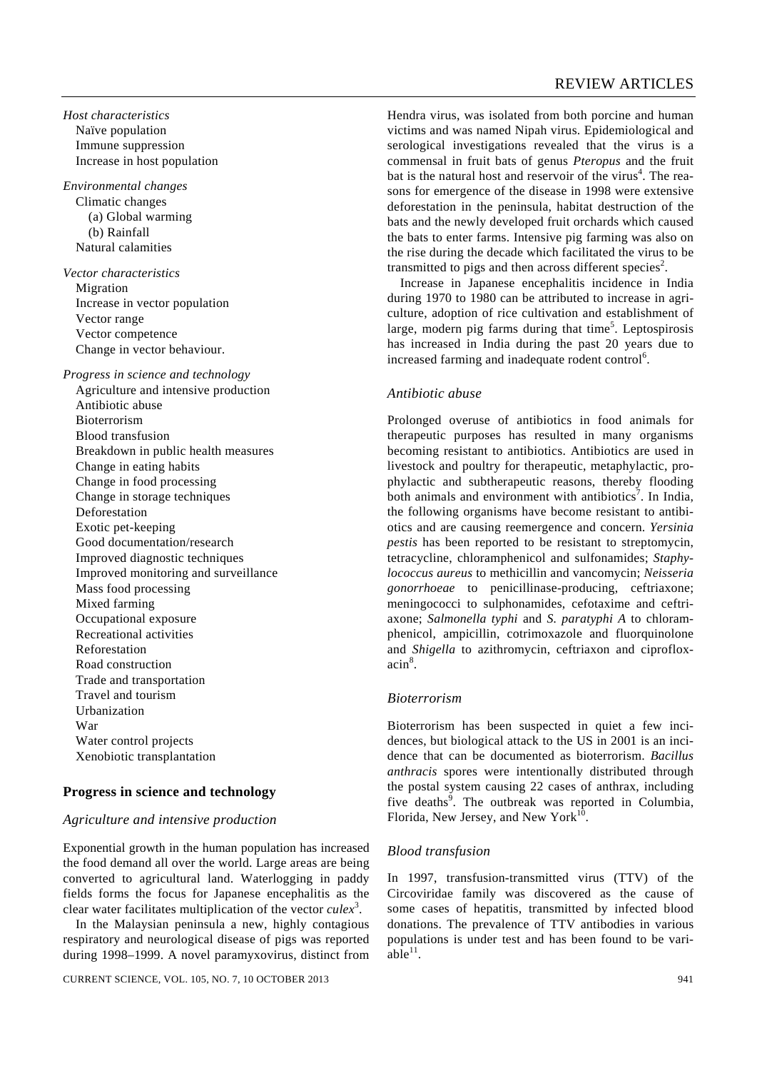*Host characteristics*  Naïve population Immune suppression Increase in host population

*Environmental changes*  Climatic changes (a) Global warming (b) Rainfall Natural calamities

*Vector characteristics*  Migration Increase in vector population Vector range Vector competence Change in vector behaviour.

#### *Progress in science and technology*

 Agriculture and intensive production Antibiotic abuse Bioterrorism Blood transfusion Breakdown in public health measures Change in eating habits Change in food processing Change in storage techniques Deforestation Exotic pet-keeping Good documentation/research Improved diagnostic techniques Improved monitoring and surveillance Mass food processing Mixed farming Occupational exposure Recreational activities Reforestation Road construction Trade and transportation Travel and tourism Urbanization War Water control projects Xenobiotic transplantation

# **Progress in science and technology**

#### *Agriculture and intensive production*

Exponential growth in the human population has increased the food demand all over the world. Large areas are being converted to agricultural land. Waterlogging in paddy fields forms the focus for Japanese encephalitis as the clear water facilitates multiplication of the vector *culex*<sup>3</sup> .

 In the Malaysian peninsula a new, highly contagious respiratory and neurological disease of pigs was reported during 1998–1999. A novel paramyxovirus, distinct from Hendra virus, was isolated from both porcine and human victims and was named Nipah virus. Epidemiological and serological investigations revealed that the virus is a commensal in fruit bats of genus *Pteropus* and the fruit bat is the natural host and reservoir of the virus<sup>4</sup>. The reasons for emergence of the disease in 1998 were extensive deforestation in the peninsula, habitat destruction of the bats and the newly developed fruit orchards which caused the bats to enter farms. Intensive pig farming was also on the rise during the decade which facilitated the virus to be transmitted to pigs and then across different species<sup>2</sup>.

 Increase in Japanese encephalitis incidence in India during 1970 to 1980 can be attributed to increase in agriculture, adoption of rice cultivation and establishment of large, modern pig farms during that time<sup>5</sup>. Leptospirosis has increased in India during the past 20 years due to increased farming and inadequate rodent control<sup>6</sup>.

#### *Antibiotic abuse*

Prolonged overuse of antibiotics in food animals for therapeutic purposes has resulted in many organisms becoming resistant to antibiotics. Antibiotics are used in livestock and poultry for therapeutic, metaphylactic, prophylactic and subtherapeutic reasons, thereby flooding both animals and environment with antibiotics<sup>7</sup>. In India, the following organisms have become resistant to antibiotics and are causing reemergence and concern. *Yersinia pestis* has been reported to be resistant to streptomycin, tetracycline, chloramphenicol and sulfonamides; *Staphylococcus aureus* to methicillin and vancomycin; *Neisseria gonorrhoeae* to penicillinase-producing, ceftriaxone; meningococci to sulphonamides, cefotaxime and ceftriaxone; *Salmonella typhi* and *S. paratyphi A* to chloramphenicol, ampicillin, cotrimoxazole and fluorquinolone and *Shigella* to azithromycin, ceftriaxon and ciprofloxacin<sup>8</sup>.

#### *Bioterrorism*

Bioterrorism has been suspected in quiet a few incidences, but biological attack to the US in 2001 is an incidence that can be documented as bioterrorism. *Bacillus anthracis* spores were intentionally distributed through the postal system causing 22 cases of anthrax, including five deaths<sup>9</sup>. The outbreak was reported in Columbia, Florida, New Jersey, and New York $10$ .

# *Blood transfusion*

In 1997, transfusion-transmitted virus (TTV) of the Circoviridae family was discovered as the cause of some cases of hepatitis, transmitted by infected blood donations. The prevalence of TTV antibodies in various populations is under test and has been found to be vari $ab\bar{1}e^{11}$ .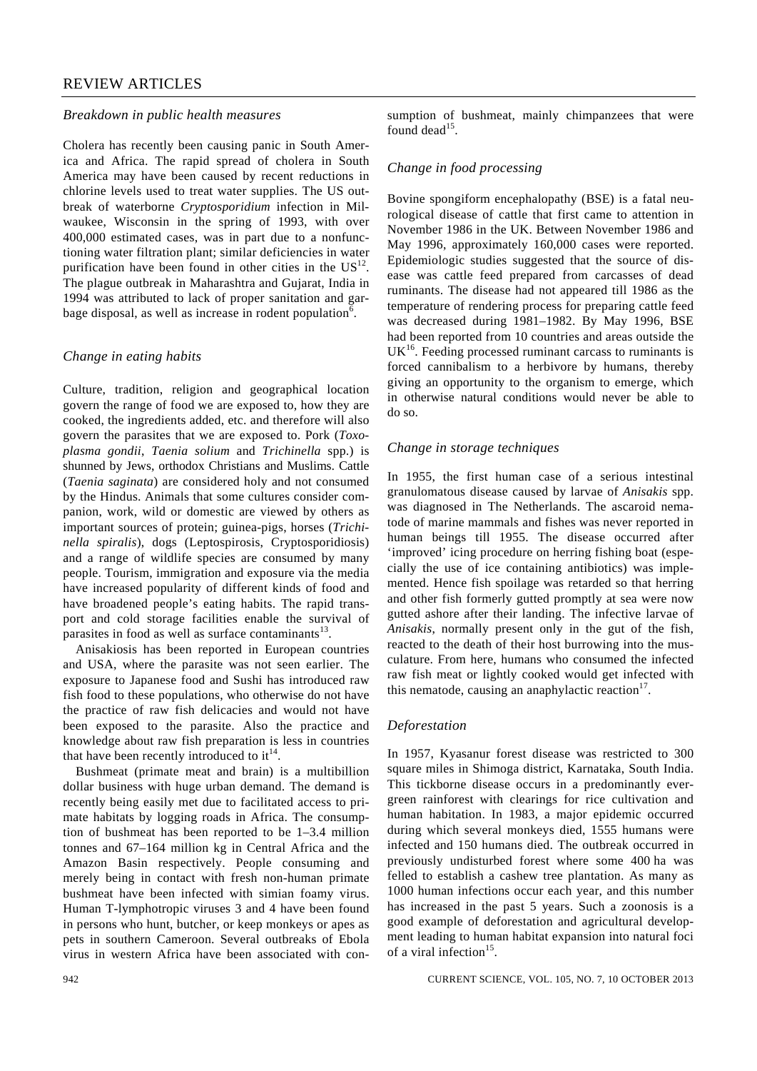# REVIEW ARTICLES

#### *Breakdown in public health measures*

Cholera has recently been causing panic in South America and Africa. The rapid spread of cholera in South America may have been caused by recent reductions in chlorine levels used to treat water supplies. The US outbreak of waterborne *Cryptosporidium* infection in Milwaukee, Wisconsin in the spring of 1993, with over 400,000 estimated cases, was in part due to a nonfunctioning water filtration plant; similar deficiencies in water purification have been found in other cities in the  $US<sup>12</sup>$ . The plague outbreak in Maharashtra and Gujarat, India in 1994 was attributed to lack of proper sanitation and garbage disposal, as well as increase in rodent population<sup>6</sup>.

#### *Change in eating habits*

Culture, tradition, religion and geographical location govern the range of food we are exposed to, how they are cooked, the ingredients added, etc. and therefore will also govern the parasites that we are exposed to. Pork (*Toxoplasma gondii*, *Taenia solium* and *Trichinella* spp.) is shunned by Jews, orthodox Christians and Muslims. Cattle (*Taenia saginata*) are considered holy and not consumed by the Hindus. Animals that some cultures consider companion, work, wild or domestic are viewed by others as important sources of protein; guinea-pigs, horses (*Trichinella spiralis*), dogs (Leptospirosis, Cryptosporidiosis) and a range of wildlife species are consumed by many people. Tourism, immigration and exposure via the media have increased popularity of different kinds of food and have broadened people's eating habits. The rapid transport and cold storage facilities enable the survival of parasites in food as well as surface contaminants<sup>13</sup>.

 Anisakiosis has been reported in European countries and USA, where the parasite was not seen earlier. The exposure to Japanese food and Sushi has introduced raw fish food to these populations, who otherwise do not have the practice of raw fish delicacies and would not have been exposed to the parasite. Also the practice and knowledge about raw fish preparation is less in countries that have been recently introduced to  $it^{14}$ .

 Bushmeat (primate meat and brain) is a multibillion dollar business with huge urban demand. The demand is recently being easily met due to facilitated access to primate habitats by logging roads in Africa. The consumption of bushmeat has been reported to be 1–3.4 million tonnes and 67–164 million kg in Central Africa and the Amazon Basin respectively. People consuming and merely being in contact with fresh non-human primate bushmeat have been infected with simian foamy virus. Human T-lymphotropic viruses 3 and 4 have been found in persons who hunt, butcher, or keep monkeys or apes as pets in southern Cameroon. Several outbreaks of Ebola virus in western Africa have been associated with con-

#### *Change in food processing*

Bovine spongiform encephalopathy (BSE) is a fatal neurological disease of cattle that first came to attention in November 1986 in the UK. Between November 1986 and May 1996, approximately 160,000 cases were reported. Epidemiologic studies suggested that the source of disease was cattle feed prepared from carcasses of dead ruminants. The disease had not appeared till 1986 as the temperature of rendering process for preparing cattle feed was decreased during 1981–1982. By May 1996, BSE had been reported from 10 countries and areas outside the  $UK<sup>16</sup>$ . Feeding processed ruminant carcass to ruminants is forced cannibalism to a herbivore by humans, thereby giving an opportunity to the organism to emerge, which in otherwise natural conditions would never be able to do so.

#### *Change in storage techniques*

In 1955, the first human case of a serious intestinal granulomatous disease caused by larvae of *Anisakis* spp. was diagnosed in The Netherlands. The ascaroid nematode of marine mammals and fishes was never reported in human beings till 1955. The disease occurred after 'improved' icing procedure on herring fishing boat (especially the use of ice containing antibiotics) was implemented. Hence fish spoilage was retarded so that herring and other fish formerly gutted promptly at sea were now gutted ashore after their landing. The infective larvae of *Anisakis*, normally present only in the gut of the fish, reacted to the death of their host burrowing into the musculature. From here, humans who consumed the infected raw fish meat or lightly cooked would get infected with this nematode, causing an anaphylactic reaction $17$ .

#### *Deforestation*

In 1957, Kyasanur forest disease was restricted to 300 square miles in Shimoga district, Karnataka, South India. This tickborne disease occurs in a predominantly evergreen rainforest with clearings for rice cultivation and human habitation. In 1983, a major epidemic occurred during which several monkeys died, 1555 humans were infected and 150 humans died. The outbreak occurred in previously undisturbed forest where some 400 ha was felled to establish a cashew tree plantation. As many as 1000 human infections occur each year, and this number has increased in the past 5 years. Such a zoonosis is a good example of deforestation and agricultural development leading to human habitat expansion into natural foci of a viral infection<sup>15</sup>.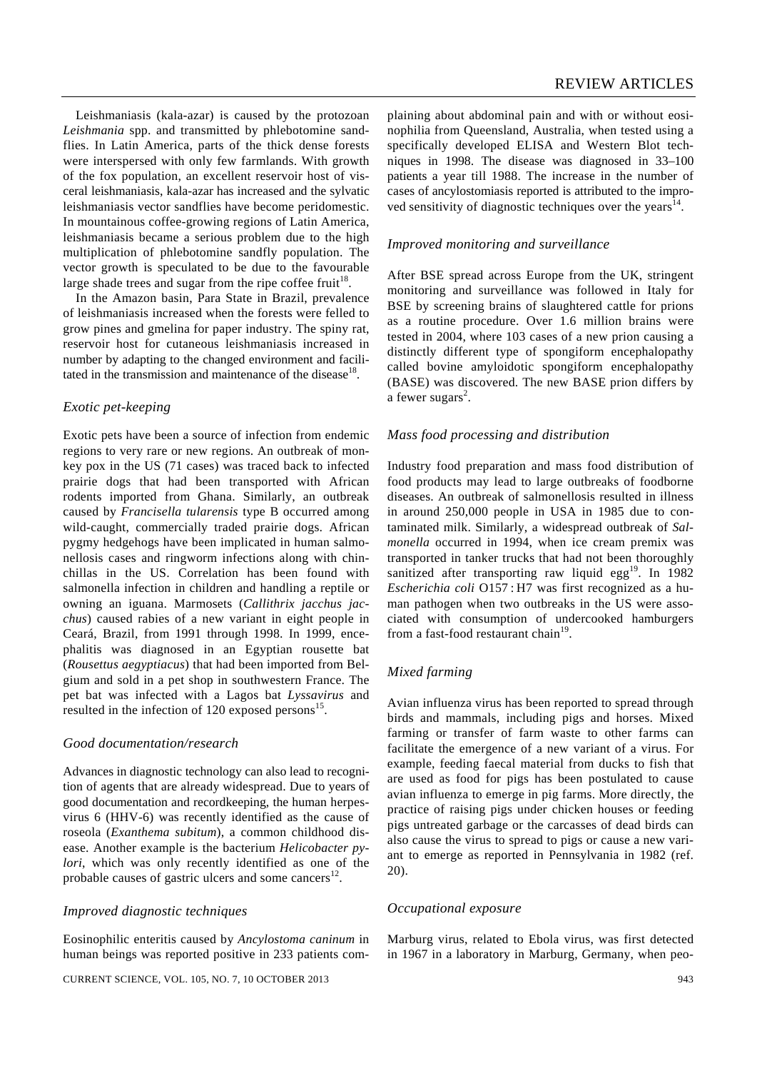Leishmaniasis (kala-azar) is caused by the protozoan *Leishmania* spp. and transmitted by phlebotomine sandflies. In Latin America, parts of the thick dense forests were interspersed with only few farmlands. With growth of the fox population, an excellent reservoir host of visceral leishmaniasis, kala-azar has increased and the sylvatic leishmaniasis vector sandflies have become peridomestic. In mountainous coffee-growing regions of Latin America, leishmaniasis became a serious problem due to the high multiplication of phlebotomine sandfly population. The vector growth is speculated to be due to the favourable large shade trees and sugar from the ripe coffee fruit<sup>18</sup>.

 In the Amazon basin, Para State in Brazil, prevalence of leishmaniasis increased when the forests were felled to grow pines and gmelina for paper industry. The spiny rat, reservoir host for cutaneous leishmaniasis increased in number by adapting to the changed environment and facilitated in the transmission and maintenance of the disease  $18$ .

# *Exotic pet-keeping*

Exotic pets have been a source of infection from endemic regions to very rare or new regions. An outbreak of monkey pox in the US (71 cases) was traced back to infected prairie dogs that had been transported with African rodents imported from Ghana. Similarly, an outbreak caused by *Francisella tularensis* type B occurred among wild-caught, commercially traded prairie dogs. African pygmy hedgehogs have been implicated in human salmonellosis cases and ringworm infections along with chinchillas in the US. Correlation has been found with salmonella infection in children and handling a reptile or owning an iguana. Marmosets (*Callithrix jacchus jacchus*) caused rabies of a new variant in eight people in Ceará, Brazil, from 1991 through 1998. In 1999, encephalitis was diagnosed in an Egyptian rousette bat (*Rousettus aegyptiacus*) that had been imported from Belgium and sold in a pet shop in southwestern France. The pet bat was infected with a Lagos bat *Lyssavirus* and resulted in the infection of 120 exposed persons $^{15}$ .

# *Good documentation/research*

Advances in diagnostic technology can also lead to recognition of agents that are already widespread. Due to years of good documentation and recordkeeping, the human herpesvirus 6 (HHV-6) was recently identified as the cause of roseola (*Exanthema subitum*), a common childhood disease. Another example is the bacterium *Helicobacter pylori*, which was only recently identified as one of the probable causes of gastric ulcers and some cancers<sup>12</sup>.

# *Improved diagnostic techniques*

Eosinophilic enteritis caused by *Ancylostoma caninum* in human beings was reported positive in 233 patients complaining about abdominal pain and with or without eosinophilia from Queensland, Australia, when tested using a specifically developed ELISA and Western Blot techniques in 1998. The disease was diagnosed in 33–100 patients a year till 1988. The increase in the number of cases of ancylostomiasis reported is attributed to the improved sensitivity of diagnostic techniques over the years<sup>14</sup>.

# *Improved monitoring and surveillance*

After BSE spread across Europe from the UK, stringent monitoring and surveillance was followed in Italy for BSE by screening brains of slaughtered cattle for prions as a routine procedure. Over 1.6 million brains were tested in 2004, where 103 cases of a new prion causing a distinctly different type of spongiform encephalopathy called bovine amyloidotic spongiform encephalopathy (BASE) was discovered. The new BASE prion differs by a fewer sugars<sup>2</sup>.

# *Mass food processing and distribution*

Industry food preparation and mass food distribution of food products may lead to large outbreaks of foodborne diseases. An outbreak of salmonellosis resulted in illness in around 250,000 people in USA in 1985 due to contaminated milk. Similarly, a widespread outbreak of *Salmonella* occurred in 1994, when ice cream premix was transported in tanker trucks that had not been thoroughly sanitized after transporting raw liquid egg<sup>19</sup>. In 1982 *Escherichia coli* O157 : H7 was first recognized as a human pathogen when two outbreaks in the US were associated with consumption of undercooked hamburgers from a fast-food restaurant chain $19$ .

# *Mixed farming*

Avian influenza virus has been reported to spread through birds and mammals, including pigs and horses. Mixed farming or transfer of farm waste to other farms can facilitate the emergence of a new variant of a virus. For example, feeding faecal material from ducks to fish that are used as food for pigs has been postulated to cause avian influenza to emerge in pig farms. More directly, the practice of raising pigs under chicken houses or feeding pigs untreated garbage or the carcasses of dead birds can also cause the virus to spread to pigs or cause a new variant to emerge as reported in Pennsylvania in 1982 (ref. 20).

# *Occupational exposure*

Marburg virus, related to Ebola virus, was first detected in 1967 in a laboratory in Marburg, Germany, when peo-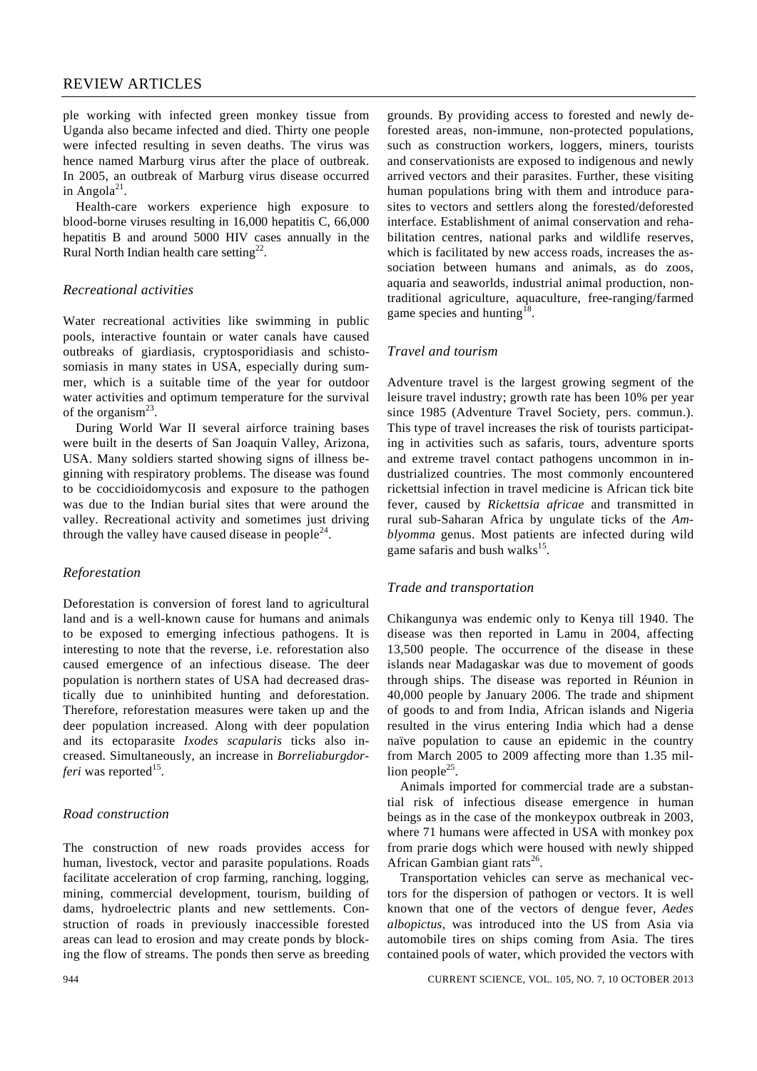# REVIEW ARTICLES

ple working with infected green monkey tissue from Uganda also became infected and died. Thirty one people were infected resulting in seven deaths. The virus was hence named Marburg virus after the place of outbreak. In 2005, an outbreak of Marburg virus disease occurred in Angola $^{21}$ .

 Health-care workers experience high exposure to blood-borne viruses resulting in 16,000 hepatitis C, 66,000 hepatitis B and around 5000 HIV cases annually in the Rural North Indian health care setting<sup>22</sup>.

# *Recreational activities*

Water recreational activities like swimming in public pools, interactive fountain or water canals have caused outbreaks of giardiasis, cryptosporidiasis and schistosomiasis in many states in USA, especially during summer, which is a suitable time of the year for outdoor water activities and optimum temperature for the survival of the organism<sup>23</sup>.

 During World War II several airforce training bases were built in the deserts of San Joaquin Valley, Arizona, USA. Many soldiers started showing signs of illness beginning with respiratory problems. The disease was found to be coccidioidomycosis and exposure to the pathogen was due to the Indian burial sites that were around the valley. Recreational activity and sometimes just driving through the valley have caused disease in people<sup>24</sup>.

# *Reforestation*

Deforestation is conversion of forest land to agricultural land and is a well-known cause for humans and animals to be exposed to emerging infectious pathogens. It is interesting to note that the reverse, i.e. reforestation also caused emergence of an infectious disease. The deer population is northern states of USA had decreased drastically due to uninhibited hunting and deforestation. Therefore, reforestation measures were taken up and the deer population increased. Along with deer population and its ectoparasite *Ixodes scapularis* ticks also increased. Simultaneously, an increase in *Borreliaburgdorferi* was reported<sup>15</sup>.

# *Road construction*

The construction of new roads provides access for human, livestock, vector and parasite populations. Roads facilitate acceleration of crop farming, ranching, logging, mining, commercial development, tourism, building of dams, hydroelectric plants and new settlements. Construction of roads in previously inaccessible forested areas can lead to erosion and may create ponds by blocking the flow of streams. The ponds then serve as breeding grounds. By providing access to forested and newly deforested areas, non-immune, non-protected populations, such as construction workers, loggers, miners, tourists and conservationists are exposed to indigenous and newly arrived vectors and their parasites. Further, these visiting human populations bring with them and introduce parasites to vectors and settlers along the forested/deforested interface. Establishment of animal conservation and rehabilitation centres, national parks and wildlife reserves, which is facilitated by new access roads, increases the association between humans and animals, as do zoos, aquaria and seaworlds, industrial animal production, nontraditional agriculture, aquaculture, free-ranging/farmed game species and hunting<sup>18</sup>.

# *Travel and tourism*

Adventure travel is the largest growing segment of the leisure travel industry; growth rate has been 10% per year since 1985 (Adventure Travel Society, pers. commun.). This type of travel increases the risk of tourists participating in activities such as safaris, tours, adventure sports and extreme travel contact pathogens uncommon in industrialized countries. The most commonly encountered rickettsial infection in travel medicine is African tick bite fever, caused by *Rickettsia africae* and transmitted in rural sub-Saharan Africa by ungulate ticks of the *Amblyomma* genus. Most patients are infected during wild game safaris and bush walks<sup>15</sup>.

#### *Trade and transportation*

Chikangunya was endemic only to Kenya till 1940. The disease was then reported in Lamu in 2004, affecting 13,500 people. The occurrence of the disease in these islands near Madagaskar was due to movement of goods through ships. The disease was reported in Réunion in 40,000 people by January 2006. The trade and shipment of goods to and from India, African islands and Nigeria resulted in the virus entering India which had a dense naïve population to cause an epidemic in the country from March 2005 to 2009 affecting more than 1.35 million people<sup>25</sup>.

 Animals imported for commercial trade are a substantial risk of infectious disease emergence in human beings as in the case of the monkeypox outbreak in 2003, where 71 humans were affected in USA with monkey pox from prarie dogs which were housed with newly shipped African Gambian giant rats<sup>26</sup>.

 Transportation vehicles can serve as mechanical vectors for the dispersion of pathogen or vectors. It is well known that one of the vectors of dengue fever, *Aedes albopictus*, was introduced into the US from Asia via automobile tires on ships coming from Asia. The tires contained pools of water, which provided the vectors with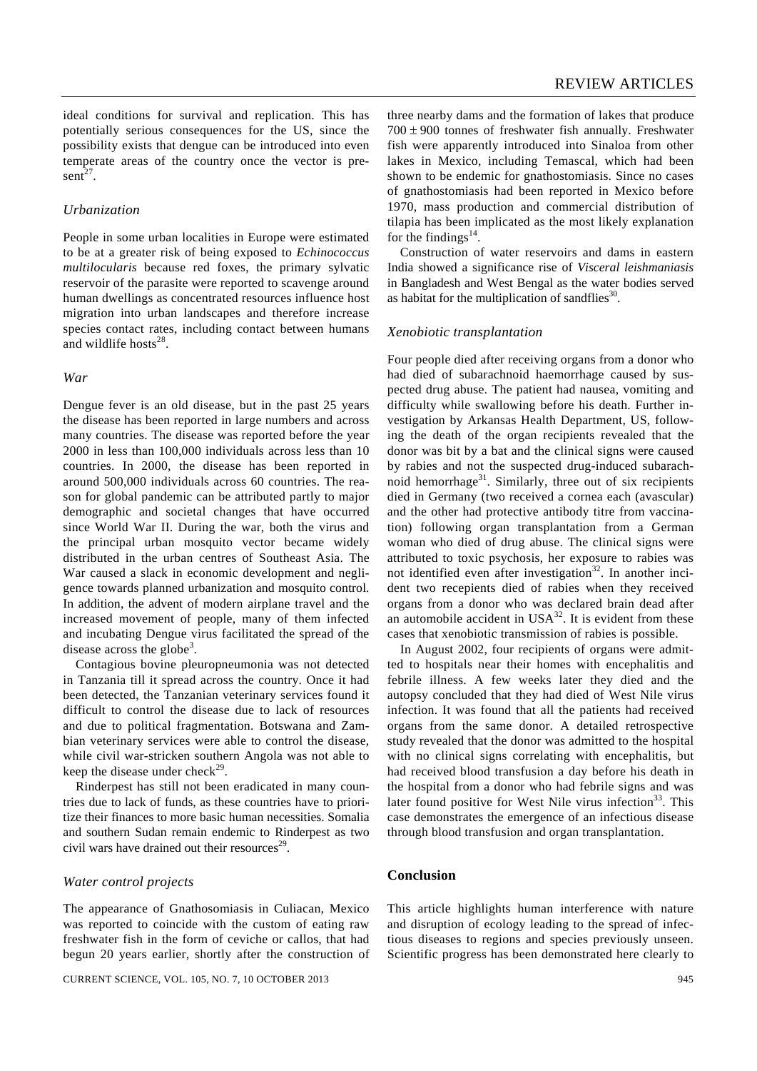ideal conditions for survival and replication. This has potentially serious consequences for the US, since the possibility exists that dengue can be introduced into even temperate areas of the country once the vector is present $^{27}$ .

#### *Urbanization*

People in some urban localities in Europe were estimated to be at a greater risk of being exposed to *Echinococcus multilocularis* because red foxes, the primary sylvatic reservoir of the parasite were reported to scavenge around human dwellings as concentrated resources influence host migration into urban landscapes and therefore increase species contact rates, including contact between humans and wildlife hosts $^{28}$ .

#### *War*

Dengue fever is an old disease, but in the past 25 years the disease has been reported in large numbers and across many countries. The disease was reported before the year 2000 in less than 100,000 individuals across less than 10 countries. In 2000, the disease has been reported in around 500,000 individuals across 60 countries. The reason for global pandemic can be attributed partly to major demographic and societal changes that have occurred since World War II. During the war, both the virus and the principal urban mosquito vector became widely distributed in the urban centres of Southeast Asia. The War caused a slack in economic development and negligence towards planned urbanization and mosquito control. In addition, the advent of modern airplane travel and the increased movement of people, many of them infected and incubating Dengue virus facilitated the spread of the disease across the globe<sup>3</sup>.

 Contagious bovine pleuropneumonia was not detected in Tanzania till it spread across the country. Once it had been detected, the Tanzanian veterinary services found it difficult to control the disease due to lack of resources and due to political fragmentation. Botswana and Zambian veterinary services were able to control the disease, while civil war-stricken southern Angola was not able to keep the disease under check<sup>29</sup>.

 Rinderpest has still not been eradicated in many countries due to lack of funds, as these countries have to prioritize their finances to more basic human necessities. Somalia and southern Sudan remain endemic to Rinderpest as two civil wars have drained out their resources<sup>29</sup>.

#### *Water control projects*

The appearance of Gnathosomiasis in Culiacan, Mexico was reported to coincide with the custom of eating raw freshwater fish in the form of ceviche or callos, that had begun 20 years earlier, shortly after the construction of three nearby dams and the formation of lakes that produce  $700 \pm 900$  tonnes of freshwater fish annually. Freshwater fish were apparently introduced into Sinaloa from other lakes in Mexico, including Temascal, which had been shown to be endemic for gnathostomiasis. Since no cases of gnathostomiasis had been reported in Mexico before 1970, mass production and commercial distribution of tilapia has been implicated as the most likely explanation for the findings $^{14}$ .

 Construction of water reservoirs and dams in eastern India showed a significance rise of *Visceral leishmaniasis* in Bangladesh and West Bengal as the water bodies served as habitat for the multiplication of sandflies $30$ .

#### *Xenobiotic transplantation*

Four people died after receiving organs from a donor who had died of subarachnoid haemorrhage caused by suspected drug abuse. The patient had nausea, vomiting and difficulty while swallowing before his death. Further investigation by Arkansas Health Department, US, following the death of the organ recipients revealed that the donor was bit by a bat and the clinical signs were caused by rabies and not the suspected drug-induced subarachnoid hemorrhage<sup>31</sup>. Similarly, three out of six recipients died in Germany (two received a cornea each (avascular) and the other had protective antibody titre from vaccination) following organ transplantation from a German woman who died of drug abuse. The clinical signs were attributed to toxic psychosis, her exposure to rabies was not identified even after investigation<sup>32</sup>. In another incident two recepients died of rabies when they received organs from a donor who was declared brain dead after an automobile accident in  $USA^{32}$ . It is evident from these cases that xenobiotic transmission of rabies is possible.

 In August 2002, four recipients of organs were admitted to hospitals near their homes with encephalitis and febrile illness. A few weeks later they died and the autopsy concluded that they had died of West Nile virus infection. It was found that all the patients had received organs from the same donor. A detailed retrospective study revealed that the donor was admitted to the hospital with no clinical signs correlating with encephalitis, but had received blood transfusion a day before his death in the hospital from a donor who had febrile signs and was later found positive for West Nile virus infection<sup>33</sup>. This case demonstrates the emergence of an infectious disease through blood transfusion and organ transplantation.

#### **Conclusion**

This article highlights human interference with nature and disruption of ecology leading to the spread of infectious diseases to regions and species previously unseen. Scientific progress has been demonstrated here clearly to